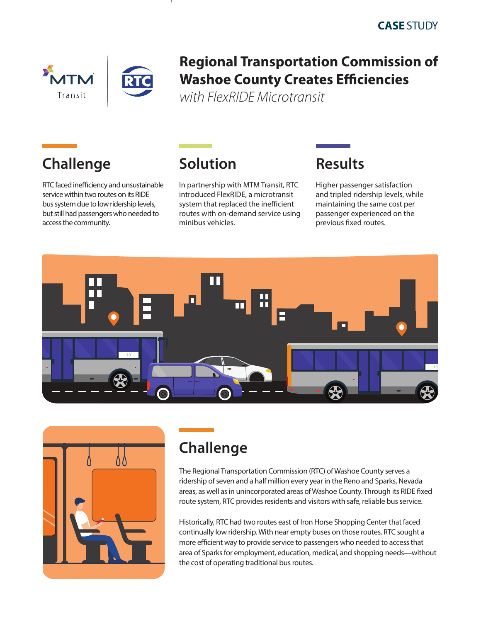



#### **Regional Transportation Commission of Washoe County Creates Efficiencies**

*with FlexRIDE Microtransit*

# **Challenge**

RTC faced inefficiency and unsustainable service within two routes on its RIDE bus system due to low ridership levels, but still had passengers who needed to access the community.



In partnership with MTM Transit, RTC introduced FlexRIDE, a microtransit system that replaced the inefficient routes with on-demand service using minibus vehicles.

#### **Results**

Higher passenger satisfaction and tripled ridership levels, while maintaining the same cost per passenger experienced on the previous fixed routes.





## **Challenge**

The Regional Transportation Commission (RTC) of Washoe County serves a ridership of seven and a half million every year in the Reno and Sparks, Nevada areas, as well as in unincorporated areas of Washoe County. Through its RIDE fixed route system, RTC provides residents and visitors with safe, reliable bus service.

Historically, RTC had two routes east of Iron Horse Shopping Center that faced continually low ridership. With near empty buses on those routes, RTC sought a more efficient way to provide service to passengers who needed to access that area of Sparks for employment, education, medical, and shopping needs—without the cost of operating traditional bus routes.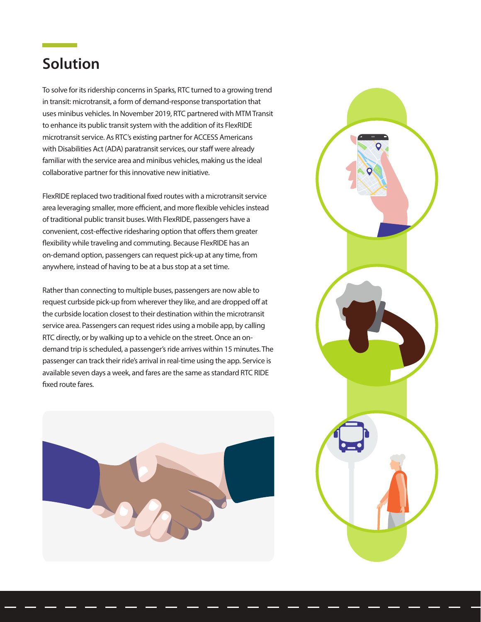### **Solution**

To solve for its ridership concerns in Sparks, RTC turned to a growing trend in transit: microtransit, a form of demand-response transportation that uses minibus vehicles. In November 2019, RTC partnered with MTM Transit to enhance its public transit system with the addition of its FlexRIDE microtransit service. As RTC's existing partner for ACCESS Americans with Disabilities Act (ADA) paratransit services, our staff were already familiar with the service area and minibus vehicles, making us the ideal collaborative partner for this innovative new initiative.

FlexRIDE replaced two traditional fixed routes with a microtransit service area leveraging smaller, more efficient, and more flexible vehicles instead of traditional public transit buses. With FlexRIDE, passengers have a convenient, cost-effective ridesharing option that offers them greater flexibility while traveling and commuting. Because FlexRIDE has an on-demand option, passengers can request pick-up at any time, from anywhere, instead of having to be at a bus stop at a set time.

Rather than connecting to multiple buses, passengers are now able to request curbside pick-up from wherever they like, and are dropped off at the curbside location closest to their destination within the microtransit service area. Passengers can request rides using a mobile app, by calling RTC directly, or by walking up to a vehicle on the street. Once an ondemand trip is scheduled, a passenger's ride arrives within 15 minutes. The passenger can track their ride's arrival in real-time using the app. Service is available seven days a week, and fares are the same as standard RTC RIDE fixed route fares.



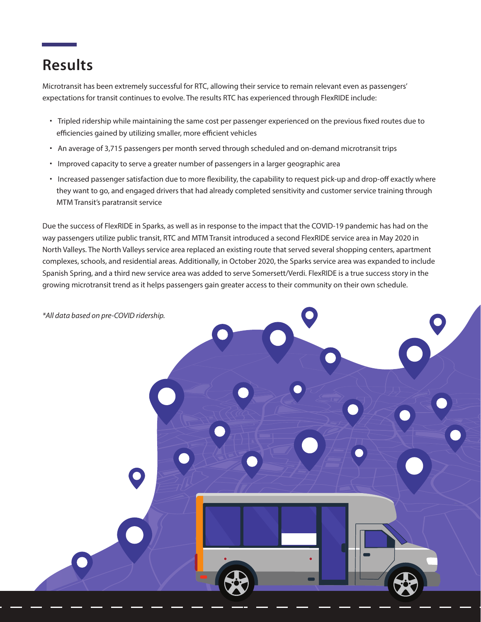## **Results**

Microtransit has been extremely successful for RTC, allowing their service to remain relevant even as passengers' expectations for transit continues to evolve. The results RTC has experienced through FlexRIDE include:

- Tripled ridership while maintaining the same cost per passenger experienced on the previous fixed routes due to efficiencies gained by utilizing smaller, more efficient vehicles
- An average of 3,715 passengers per month served through scheduled and on-demand microtransit trips
- Improved capacity to serve a greater number of passengers in a larger geographic area
- Increased passenger satisfaction due to more flexibility, the capability to request pick-up and drop-off exactly where they want to go, and engaged drivers that had already completed sensitivity and customer service training through MTM Transit's paratransit service

Due the success of FlexRIDE in Sparks, as well as in response to the impact that the COVID-19 pandemic has had on the way passengers utilize public transit, RTC and MTM Transit introduced a second FlexRIDE service area in May 2020 in North Valleys. The North Valleys service area replaced an existing route that served several shopping centers, apartment complexes, schools, and residential areas. Additionally, in October 2020, the Sparks service area was expanded to include Spanish Spring, and a third new service area was added to serve Somersett/Verdi. FlexRIDE is a true success story in the growing microtransit trend as it helps passengers gain greater access to their community on their own schedule.